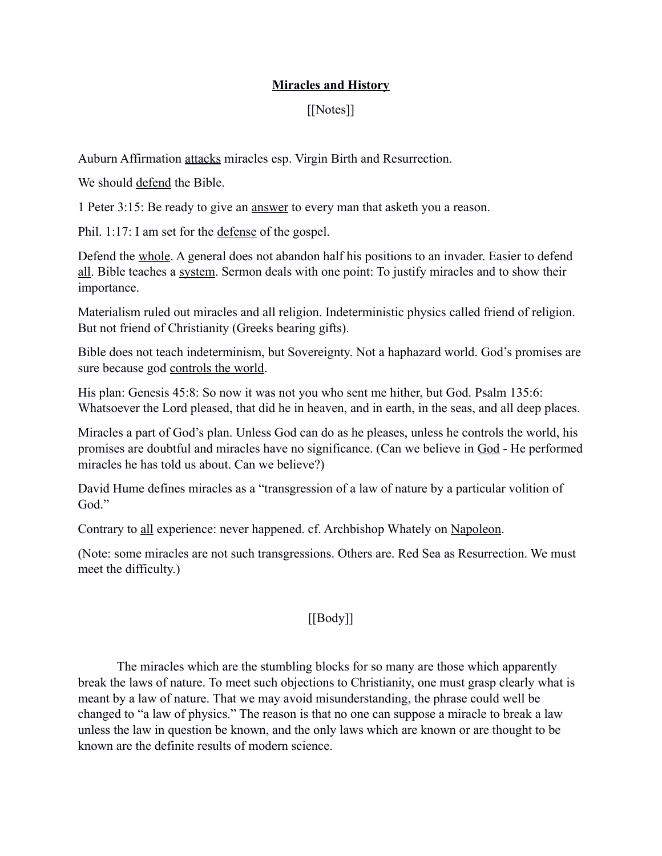## **Miracles and History**

## [[Notes]]

Auburn Affirmation attacks miracles esp. Virgin Birth and Resurrection.

We should defend the Bible.

1 Peter 3:15: Be ready to give an answer to every man that asketh you a reason.

Phil. 1:17: I am set for the defense of the gospel.

Defend the whole. A general does not abandon half his positions to an invader. Easier to defend all. Bible teaches a system. Sermon deals with one point: To justify miracles and to show their importance.

Materialism ruled out miracles and all religion. Indeterministic physics called friend of religion. But not friend of Christianity (Greeks bearing gifts).

Bible does not teach indeterminism, but Sovereignty. Not a haphazard world. God's promises are sure because god controls the world.

His plan: Genesis 45:8: So now it was not you who sent me hither, but God. Psalm 135:6: Whatsoever the Lord pleased, that did he in heaven, and in earth, in the seas, and all deep places.

Miracles a part of God's plan. Unless God can do as he pleases, unless he controls the world, his promises are doubtful and miracles have no significance. (Can we believe in God - He performed miracles he has told us about. Can we believe?)

David Hume defines miracles as a "transgression of a law of nature by a particular volition of God."

Contrary to all experience: never happened. cf. Archbishop Whately on Napoleon.

(Note: some miracles are not such transgressions. Others are. Red Sea as Resurrection. We must meet the difficulty.)

## $[[\text{Body}]]$

The miracles which are the stumbling blocks for so many are those which apparently break the laws of nature. To meet such objections to Christianity, one must grasp clearly what is meant by a law of nature. That we may avoid misunderstanding, the phrase could well be changed to "a law of physics." The reason is that no one can suppose a miracle to break a law unless the law in question be known, and the only laws which are known or are thought to be known are the definite results of modern science.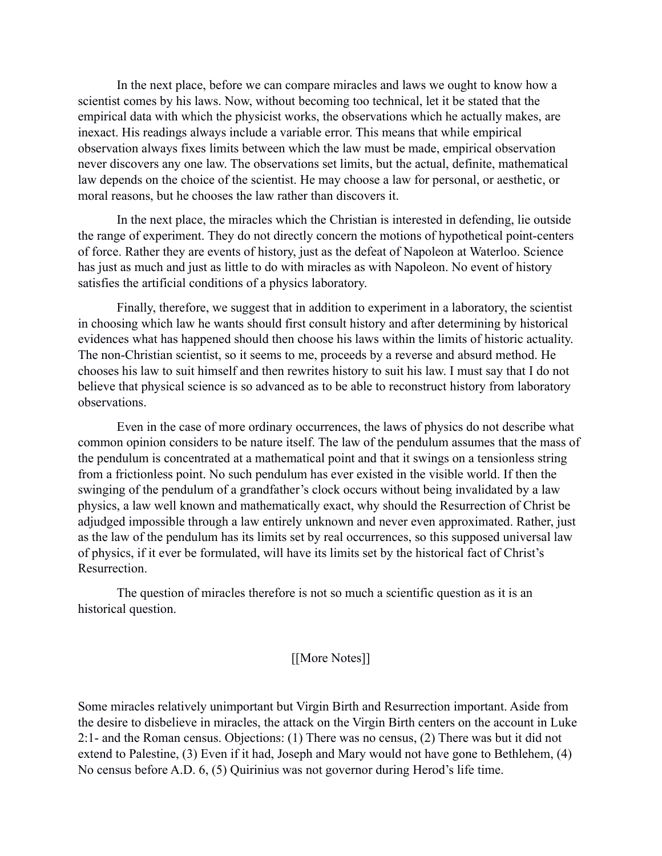In the next place, before we can compare miracles and laws we ought to know how a scientist comes by his laws. Now, without becoming too technical, let it be stated that the empirical data with which the physicist works, the observations which he actually makes, are inexact. His readings always include a variable error. This means that while empirical observation always fixes limits between which the law must be made, empirical observation never discovers any one law. The observations set limits, but the actual, definite, mathematical law depends on the choice of the scientist. He may choose a law for personal, or aesthetic, or moral reasons, but he chooses the law rather than discovers it.

In the next place, the miracles which the Christian is interested in defending, lie outside the range of experiment. They do not directly concern the motions of hypothetical point-centers of force. Rather they are events of history, just as the defeat of Napoleon at Waterloo. Science has just as much and just as little to do with miracles as with Napoleon. No event of history satisfies the artificial conditions of a physics laboratory.

Finally, therefore, we suggest that in addition to experiment in a laboratory, the scientist in choosing which law he wants should first consult history and after determining by historical evidences what has happened should then choose his laws within the limits of historic actuality. The non-Christian scientist, so it seems to me, proceeds by a reverse and absurd method. He chooses his law to suit himself and then rewrites history to suit his law. I must say that I do not believe that physical science is so advanced as to be able to reconstruct history from laboratory observations.

Even in the case of more ordinary occurrences, the laws of physics do not describe what common opinion considers to be nature itself. The law of the pendulum assumes that the mass of the pendulum is concentrated at a mathematical point and that it swings on a tensionless string from a frictionless point. No such pendulum has ever existed in the visible world. If then the swinging of the pendulum of a grandfather's clock occurs without being invalidated by a law physics, a law well known and mathematically exact, why should the Resurrection of Christ be adjudged impossible through a law entirely unknown and never even approximated. Rather, just as the law of the pendulum has its limits set by real occurrences, so this supposed universal law of physics, if it ever be formulated, will have its limits set by the historical fact of Christ's **Resurrection** 

The question of miracles therefore is not so much a scientific question as it is an historical question.

## [[More Notes]]

Some miracles relatively unimportant but Virgin Birth and Resurrection important. Aside from the desire to disbelieve in miracles, the attack on the Virgin Birth centers on the account in Luke 2:1- and the Roman census. Objections: (1) There was no census, (2) There was but it did not extend to Palestine, (3) Even if it had, Joseph and Mary would not have gone to Bethlehem, (4) No census before A.D. 6, (5) Quirinius was not governor during Herod's life time.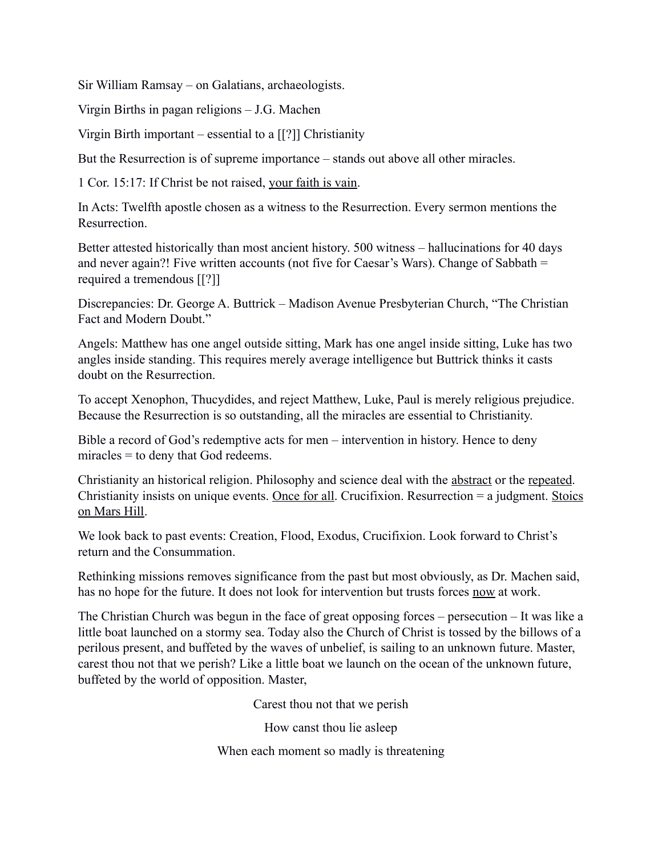Sir William Ramsay – on Galatians, archaeologists.

Virgin Births in pagan religions – J.G. Machen

Virgin Birth important – essential to a [[?]] Christianity

But the Resurrection is of supreme importance – stands out above all other miracles.

1 Cor. 15:17: If Christ be not raised, your faith is vain.

In Acts: Twelfth apostle chosen as a witness to the Resurrection. Every sermon mentions the Resurrection.

Better attested historically than most ancient history. 500 witness – hallucinations for 40 days and never again?! Five written accounts (not five for Caesar's Wars). Change of Sabbath = required a tremendous [[?]]

Discrepancies: Dr. George A. Buttrick – Madison Avenue Presbyterian Church, "The Christian Fact and Modern Doubt."

Angels: Matthew has one angel outside sitting, Mark has one angel inside sitting, Luke has two angles inside standing. This requires merely average intelligence but Buttrick thinks it casts doubt on the Resurrection.

To accept Xenophon, Thucydides, and reject Matthew, Luke, Paul is merely religious prejudice. Because the Resurrection is so outstanding, all the miracles are essential to Christianity.

Bible a record of God's redemptive acts for men – intervention in history. Hence to deny miracles = to deny that God redeems.

Christianity an historical religion. Philosophy and science deal with the abstract or the repeated. Christianity insists on unique events. Once for all. Crucifixion. Resurrection = a judgment. Stoics on Mars Hill.

We look back to past events: Creation, Flood, Exodus, Crucifixion. Look forward to Christ's return and the Consummation.

Rethinking missions removes significance from the past but most obviously, as Dr. Machen said, has no hope for the future. It does not look for intervention but trusts forces now at work.

The Christian Church was begun in the face of great opposing forces – persecution – It was like a little boat launched on a stormy sea. Today also the Church of Christ is tossed by the billows of a perilous present, and buffeted by the waves of unbelief, is sailing to an unknown future. Master, carest thou not that we perish? Like a little boat we launch on the ocean of the unknown future, buffeted by the world of opposition. Master,

Carest thou not that we perish

How canst thou lie asleep

When each moment so madly is threatening